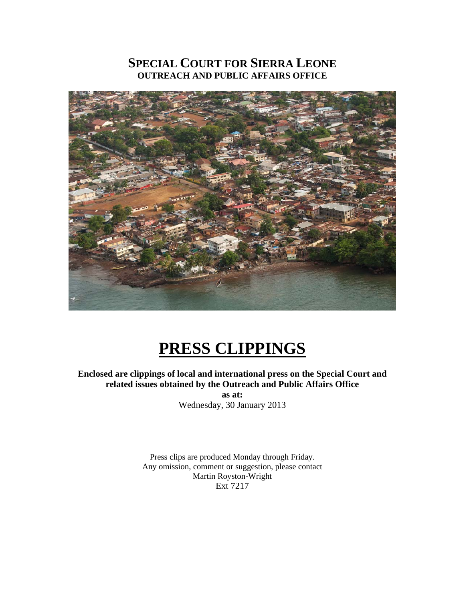# **SPECIAL COURT FOR SIERRA LEONE OUTREACH AND PUBLIC AFFAIRS OFFICE**



# **PRESS CLIPPINGS**

## **Enclosed are clippings of local and international press on the Special Court and related issues obtained by the Outreach and Public Affairs Office**

**as at:**  Wednesday, 30 January 2013

Press clips are produced Monday through Friday. Any omission, comment or suggestion, please contact Martin Royston-Wright Ext 7217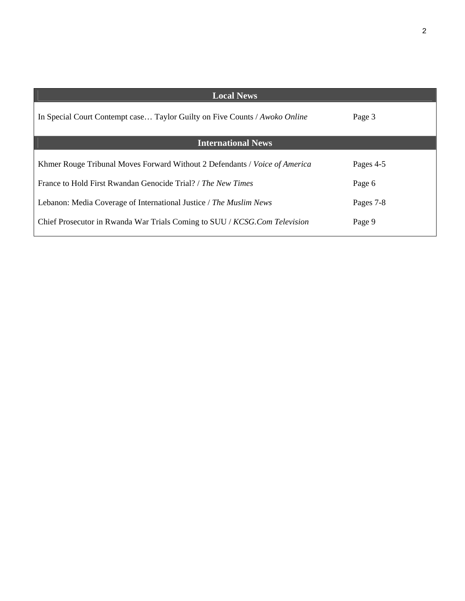| <b>Local News</b>                                                          |           |
|----------------------------------------------------------------------------|-----------|
| In Special Court Contempt case Taylor Guilty on Five Counts / Awoko Online | Page 3    |
| <b>International News</b>                                                  |           |
| Khmer Rouge Tribunal Moves Forward Without 2 Defendants / Voice of America | Pages 4-5 |
| France to Hold First Rwandan Genocide Trial? / The New Times               | Page 6    |
| Lebanon: Media Coverage of International Justice / The Muslim News         | Pages 7-8 |
| Chief Prosecutor in Rwanda War Trials Coming to SUU / KCSG.Com Television  | Page 9    |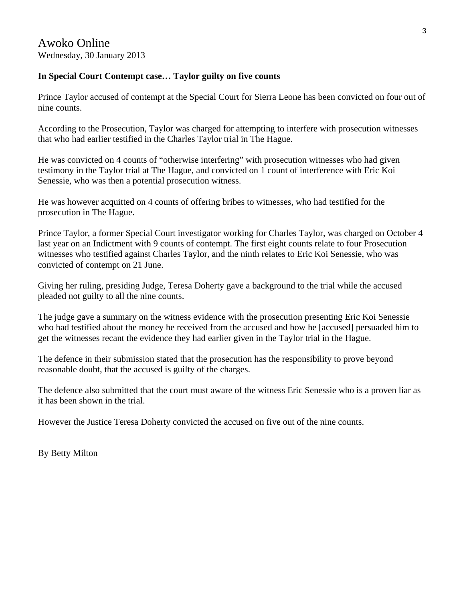# **In Special Court Contempt case… Taylor guilty on five counts**

Prince Taylor accused of contempt at the Special Court for Sierra Leone has been convicted on four out of nine counts.

According to the Prosecution, Taylor was charged for attempting to interfere with prosecution witnesses that who had earlier testified in the Charles Taylor trial in The Hague.

He was convicted on 4 counts of "otherwise interfering" with prosecution witnesses who had given testimony in the Taylor trial at The Hague, and convicted on 1 count of interference with Eric Koi Senessie, who was then a potential prosecution witness.

He was however acquitted on 4 counts of offering bribes to witnesses, who had testified for the prosecution in The Hague.

Prince Taylor, a former Special Court investigator working for Charles Taylor, was charged on October 4 last year on an Indictment with 9 counts of contempt. The first eight counts relate to four Prosecution witnesses who testified against Charles Taylor, and the ninth relates to Eric Koi Senessie, who was convicted of contempt on 21 June.

Giving her ruling, presiding Judge, Teresa Doherty gave a background to the trial while the accused pleaded not guilty to all the nine counts.

The judge gave a summary on the witness evidence with the prosecution presenting Eric Koi Senessie who had testified about the money he received from the accused and how he [accused] persuaded him to get the witnesses recant the evidence they had earlier given in the Taylor trial in the Hague.

The defence in their submission stated that the prosecution has the responsibility to prove beyond reasonable doubt, that the accused is guilty of the charges.

The defence also submitted that the court must aware of the witness Eric Senessie who is a proven liar as it has been shown in the trial.

However the Justice Teresa Doherty convicted the accused on five out of the nine counts.

By Betty Milton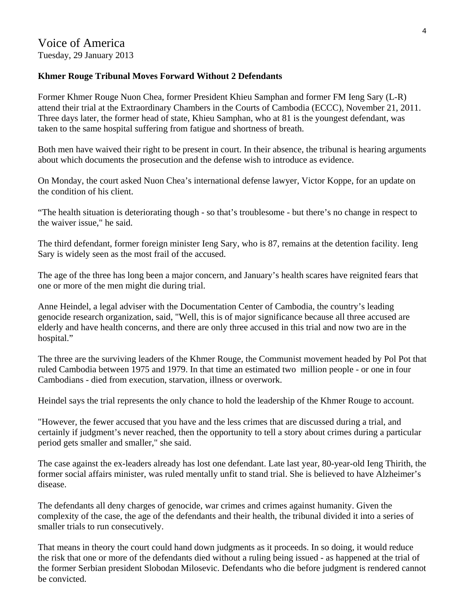# **Khmer Rouge Tribunal Moves Forward Without 2 Defendants**

Former Khmer Rouge Nuon Chea, former President Khieu Samphan and former FM Ieng Sary (L-R) attend their trial at the Extraordinary Chambers in the Courts of Cambodia (ECCC), November 21, 2011. Three days later, the former head of state, Khieu Samphan, who at 81 is the youngest defendant, was taken to the same hospital suffering from fatigue and shortness of breath.

Both men have waived their right to be present in court. In their absence, the tribunal is hearing arguments about which documents the prosecution and the defense wish to introduce as evidence.

On Monday, the court asked Nuon Chea's international defense lawyer, Victor Koppe, for an update on the condition of his client.

"The health situation is deteriorating though - so that's troublesome - but there's no change in respect to the waiver issue," he said.

The third defendant, former foreign minister Ieng Sary, who is 87, remains at the detention facility. Ieng Sary is widely seen as the most frail of the accused.

The age of the three has long been a major concern, and January's health scares have reignited fears that one or more of the men might die during trial.

Anne Heindel, a legal adviser with the Documentation Center of Cambodia, the country's leading genocide research organization, said, "Well, this is of major significance because all three accused are elderly and have health concerns, and there are only three accused in this trial and now two are in the hospital."

The three are the surviving leaders of the Khmer Rouge, the Communist movement headed by Pol Pot that ruled Cambodia between 1975 and 1979. In that time an estimated two million people - or one in four Cambodians - died from execution, starvation, illness or overwork.

Heindel says the trial represents the only chance to hold the leadership of the Khmer Rouge to account.

"However, the fewer accused that you have and the less crimes that are discussed during a trial, and certainly if judgment's never reached, then the opportunity to tell a story about crimes during a particular period gets smaller and smaller," she said.

The case against the ex-leaders already has lost one defendant. Late last year, 80-year-old Ieng Thirith, the former social affairs minister, was ruled mentally unfit to stand trial. She is believed to have Alzheimer's disease.

The defendants all deny charges of genocide, war crimes and crimes against humanity. Given the complexity of the case, the age of the defendants and their health, the tribunal divided it into a series of smaller trials to run consecutively.

That means in theory the court could hand down judgments as it proceeds. In so doing, it would reduce the risk that one or more of the defendants died without a ruling being issued - as happened at the trial of the former Serbian president Slobodan Milosevic. Defendants who die before judgment is rendered cannot be convicted.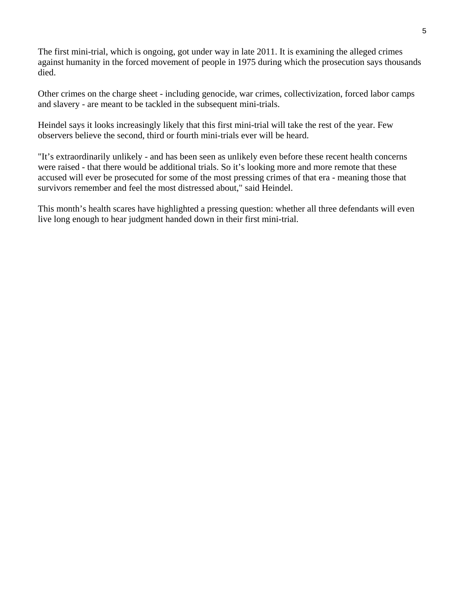The first mini-trial, which is ongoing, got under way in late 2011. It is examining the alleged crimes against humanity in the forced movement of people in 1975 during which the prosecution says thousands died.

Other crimes on the charge sheet - including genocide, war crimes, collectivization, forced labor camps and slavery - are meant to be tackled in the subsequent mini-trials.

Heindel says it looks increasingly likely that this first mini-trial will take the rest of the year. Few observers believe the second, third or fourth mini-trials ever will be heard.

"It's extraordinarily unlikely - and has been seen as unlikely even before these recent health concerns were raised - that there would be additional trials. So it's looking more and more remote that these accused will ever be prosecuted for some of the most pressing crimes of that era - meaning those that survivors remember and feel the most distressed about," said Heindel.

This month's health scares have highlighted a pressing question: whether all three defendants will even live long enough to hear judgment handed down in their first mini-trial.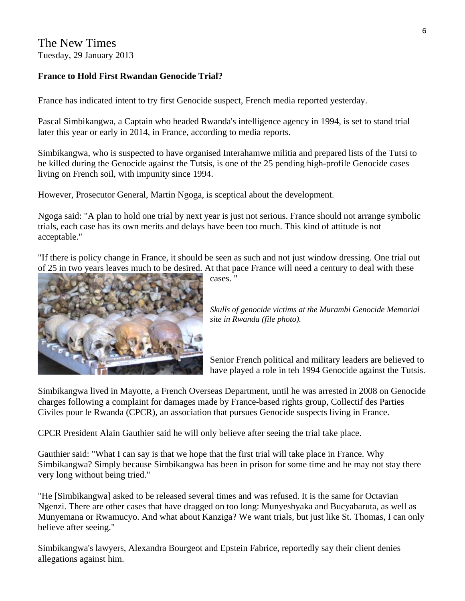The New Times Tuesday, 29 January 2013

# **France to Hold First Rwandan Genocide Trial?**

France has indicated intent to try first Genocide suspect, French media reported yesterday.

Pascal Simbikangwa, a Captain who headed Rwanda's intelligence agency in 1994, is set to stand trial later this year or early in 2014, in France, according to media reports.

Simbikangwa, who is suspected to have organised Interahamwe militia and prepared lists of the Tutsi to be killed during the Genocide against the Tutsis, is one of the 25 pending high-profile Genocide cases living on French soil, with impunity since 1994.

However, Prosecutor General, Martin Ngoga, is sceptical about the development.

Ngoga said: "A plan to hold one trial by next year is just not serious. France should not arrange symbolic trials, each case has its own merits and delays have been too much. This kind of attitude is not acceptable."

"If there is policy change in France, it should be seen as such and not just window dressing. One trial out of 25 in two years leaves much to be desired. At that pace France will need a century to deal with these



cases. "

*Skulls of genocide victims at the Murambi Genocide Memorial site in Rwanda (file photo).* 

Senior French political and military leaders are believed to have played a role in teh 1994 Genocide against the Tutsis.

Simbikangwa lived in Mayotte, a French Overseas Department, until he was arrested in 2008 on Genocide charges following a complaint for damages made by France-based rights group, Collectif des Parties Civiles pour le Rwanda (CPCR), an association that pursues Genocide suspects living in France.

CPCR President Alain Gauthier said he will only believe after seeing the trial take place.

Gauthier said: "What I can say is that we hope that the first trial will take place in France. Why Simbikangwa? Simply because Simbikangwa has been in prison for some time and he may not stay there very long without being tried."

"He [Simbikangwa] asked to be released several times and was refused. It is the same for Octavian Ngenzi. There are other cases that have dragged on too long: Munyeshyaka and Bucyabaruta, as well as Munyemana or Rwamucyo. And what about Kanziga? We want trials, but just like St. Thomas, I can only believe after seeing."

Simbikangwa's lawyers, Alexandra Bourgeot and Epstein Fabrice, reportedly say their client denies allegations against him.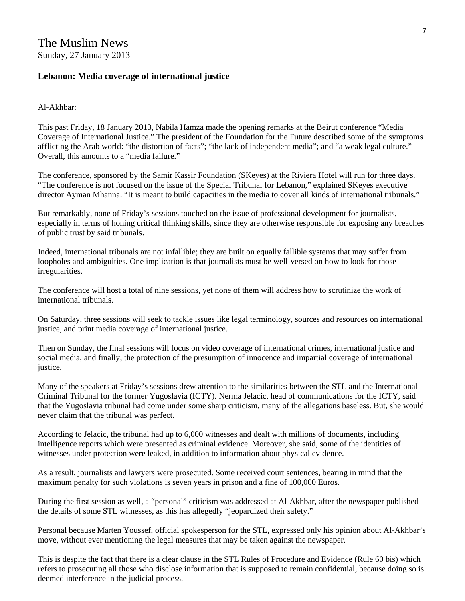#### **Lebanon: Media coverage of international justice**

#### Al-Akhbar:

This past Friday, 18 January 2013, Nabila Hamza made the opening remarks at the Beirut conference "Media Coverage of International Justice." The president of the Foundation for the Future described some of the symptoms afflicting the Arab world: "the distortion of facts"; "the lack of independent media"; and "a weak legal culture." Overall, this amounts to a "media failure."

The conference, sponsored by the Samir Kassir Foundation (SKeyes) at the Riviera Hotel will run for three days. "The conference is not focused on the issue of the Special Tribunal for Lebanon," explained SKeyes executive director Ayman Mhanna. "It is meant to build capacities in the media to cover all kinds of international tribunals."

But remarkably, none of Friday's sessions touched on the issue of professional development for journalists, especially in terms of honing critical thinking skills, since they are otherwise responsible for exposing any breaches of public trust by said tribunals.

Indeed, international tribunals are not infallible; they are built on equally fallible systems that may suffer from loopholes and ambiguities. One implication is that journalists must be well-versed on how to look for those irregularities.

The conference will host a total of nine sessions, yet none of them will address how to scrutinize the work of international tribunals.

On Saturday, three sessions will seek to tackle issues like legal terminology, sources and resources on international justice, and print media coverage of international justice.

Then on Sunday, the final sessions will focus on video coverage of international crimes, international justice and social media, and finally, the protection of the presumption of innocence and impartial coverage of international justice.

Many of the speakers at Friday's sessions drew attention to the similarities between the STL and the International Criminal Tribunal for the former Yugoslavia (ICTY). Nerma Jelacic, head of communications for the ICTY, said that the Yugoslavia tribunal had come under some sharp criticism, many of the allegations baseless. But, she would never claim that the tribunal was perfect.

According to Jelacic, the tribunal had up to 6,000 witnesses and dealt with millions of documents, including intelligence reports which were presented as criminal evidence. Moreover, she said, some of the identities of witnesses under protection were leaked, in addition to information about physical evidence.

As a result, journalists and lawyers were prosecuted. Some received court sentences, bearing in mind that the maximum penalty for such violations is seven years in prison and a fine of 100,000 Euros.

During the first session as well, a "personal" criticism was addressed at Al-Akhbar, after the newspaper published the details of some STL witnesses, as this has allegedly "jeopardized their safety."

Personal because Marten Youssef, official spokesperson for the STL, expressed only his opinion about Al-Akhbar's move, without ever mentioning the legal measures that may be taken against the newspaper.

This is despite the fact that there is a clear clause in the STL Rules of Procedure and Evidence (Rule 60 bis) which refers to prosecuting all those who disclose information that is supposed to remain confidential, because doing so is deemed interference in the judicial process.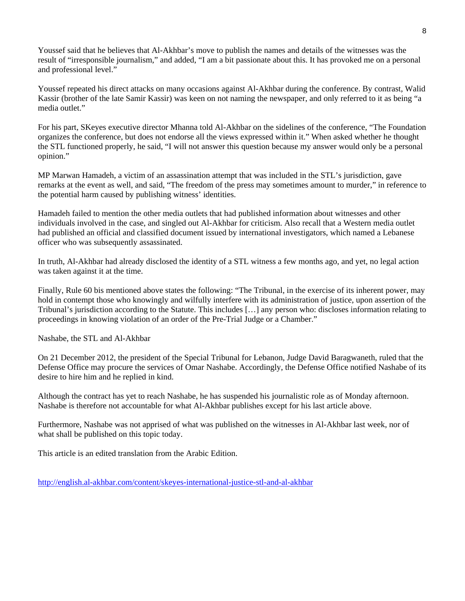Youssef said that he believes that Al-Akhbar's move to publish the names and details of the witnesses was the result of "irresponsible journalism," and added, "I am a bit passionate about this. It has provoked me on a personal and professional level."

Youssef repeated his direct attacks on many occasions against Al-Akhbar during the conference. By contrast, Walid Kassir (brother of the late Samir Kassir) was keen on not naming the newspaper, and only referred to it as being "a media outlet."

For his part, SKeyes executive director Mhanna told Al-Akhbar on the sidelines of the conference, "The Foundation organizes the conference, but does not endorse all the views expressed within it." When asked whether he thought the STL functioned properly, he said, "I will not answer this question because my answer would only be a personal opinion."

MP Marwan Hamadeh, a victim of an assassination attempt that was included in the STL's jurisdiction, gave remarks at the event as well, and said, "The freedom of the press may sometimes amount to murder," in reference to the potential harm caused by publishing witness' identities.

Hamadeh failed to mention the other media outlets that had published information about witnesses and other individuals involved in the case, and singled out Al-Akhbar for criticism. Also recall that a Western media outlet had published an official and classified document issued by international investigators, which named a Lebanese officer who was subsequently assassinated.

In truth, Al-Akhbar had already disclosed the identity of a STL witness a few months ago, and yet, no legal action was taken against it at the time.

Finally, Rule 60 bis mentioned above states the following: "The Tribunal, in the exercise of its inherent power, may hold in contempt those who knowingly and wilfully interfere with its administration of justice, upon assertion of the Tribunal's jurisdiction according to the Statute. This includes […] any person who: discloses information relating to proceedings in knowing violation of an order of the Pre-Trial Judge or a Chamber."

Nashabe, the STL and Al-Akhbar

On 21 December 2012, the president of the Special Tribunal for Lebanon, Judge David Baragwaneth, ruled that the Defense Office may procure the services of Omar Nashabe. Accordingly, the Defense Office notified Nashabe of its desire to hire him and he replied in kind.

Although the contract has yet to reach Nashabe, he has suspended his journalistic role as of Monday afternoon. Nashabe is therefore not accountable for what Al-Akhbar publishes except for his last article above.

Furthermore, Nashabe was not apprised of what was published on the witnesses in Al-Akhbar last week, nor of what shall be published on this topic today.

This article is an edited translation from the Arabic Edition.

<http://english.al-akhbar.com/content/skeyes-international-justice-stl-and-al-akhbar>